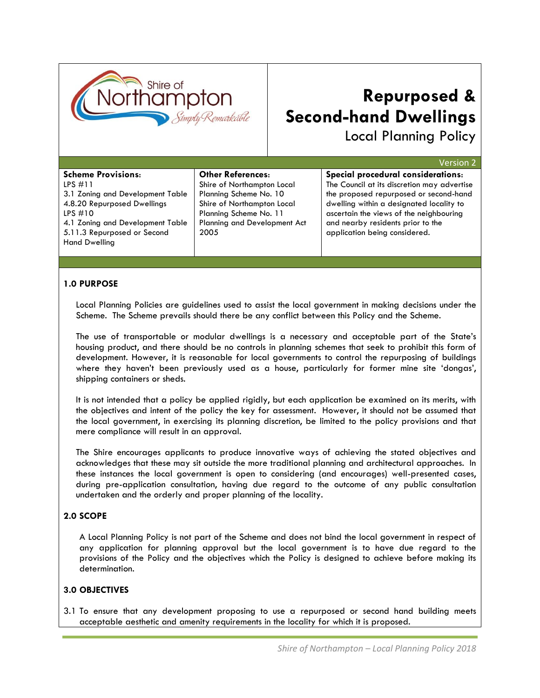

# **Repurposed & Second-hand Dwellings**

Local Planning Policy

| <b>Scheme Provisions:</b><br>Special procedural considerations:<br><b>Other References:</b>                                                                                                                   |
|---------------------------------------------------------------------------------------------------------------------------------------------------------------------------------------------------------------|
|                                                                                                                                                                                                               |
| The Council at its discretion may advertise<br>$LPS$ #11<br>Shire of Northampton Local                                                                                                                        |
| the proposed repurposed or second-hand<br>Planning Scheme No. 10<br>3.1 Zoning and Development Table<br>4.8.20 Repurposed Dwellings<br>Shire of Northampton Local<br>dwelling within a designated locality to |
| ascertain the views of the neighbouring<br>Planning Scheme No. 11<br>LPS#10                                                                                                                                   |
| <b>Planning and Development Act</b><br>and nearby residents prior to the<br>4.1 Zoning and Development Table                                                                                                  |
| 5.11.3 Repurposed or Second<br>application being considered.<br>2005<br><b>Hand Dwelling</b>                                                                                                                  |
|                                                                                                                                                                                                               |

### **1.0 PURPOSE**

Local Planning Policies are guidelines used to assist the local government in making decisions under the Scheme. The Scheme prevails should there be any conflict between this Policy and the Scheme.

The use of transportable or modular dwellings is a necessary and acceptable part of the State"s housing product, and there should be no controls in planning schemes that seek to prohibit this form of development. However, it is reasonable for local governments to control the repurposing of buildings where they haven't been previously used as a house, particularly for former mine site 'dongas', shipping containers or sheds.

It is not intended that a policy be applied rigidly, but each application be examined on its merits, with the objectives and intent of the policy the key for assessment. However, it should not be assumed that the local government, in exercising its planning discretion, be limited to the policy provisions and that mere compliance will result in an approval.

The Shire encourages applicants to produce innovative ways of achieving the stated objectives and acknowledges that these may sit outside the more traditional planning and architectural approaches. In these instances the local government is open to considering (and encourages) well-presented cases, during pre-application consultation, having due regard to the outcome of any public consultation undertaken and the orderly and proper planning of the locality.

#### **2.0 SCOPE**

A Local Planning Policy is not part of the Scheme and does not bind the local government in respect of any application for planning approval but the local government is to have due regard to the provisions of the Policy and the objectives which the Policy is designed to achieve before making its determination.

#### **3.0 OBJECTIVES**

3.1 To ensure that any development proposing to use a repurposed or second hand building meets acceptable aesthetic and amenity requirements in the locality for which it is proposed.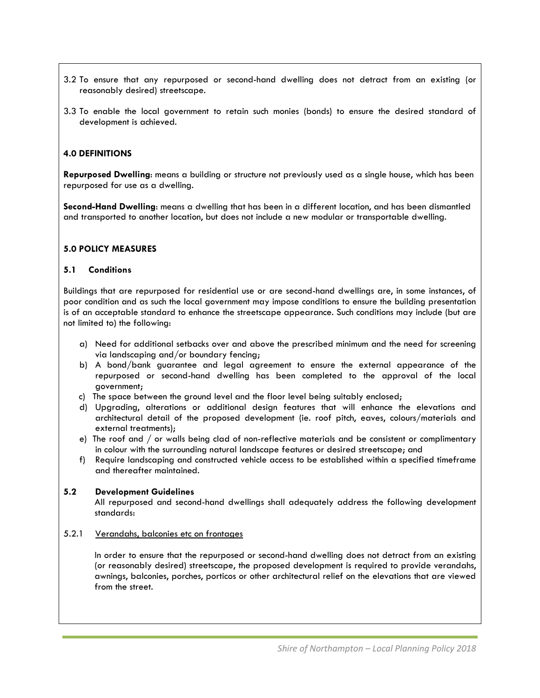- 3.2 To ensure that any repurposed or second-hand dwelling does not detract from an existing (or reasonably desired) streetscape.
- 3.3 To enable the local government to retain such monies (bonds) to ensure the desired standard of development is achieved.

#### **4.0 DEFINITIONS**

**Repurposed Dwelling**: means a building or structure not previously used as a single house, which has been repurposed for use as a dwelling.

**Second-Hand Dwelling**: means a dwelling that has been in a different location, and has been dismantled and transported to another location, but does not include a new modular or transportable dwelling.

#### **5.0 POLICY MEASURES**

#### **5.1 Conditions**

Buildings that are repurposed for residential use or are second-hand dwellings are, in some instances, of poor condition and as such the local government may impose conditions to ensure the building presentation is of an acceptable standard to enhance the streetscape appearance. Such conditions may include (but are not limited to) the following:

- a) Need for additional setbacks over and above the prescribed minimum and the need for screening via landscaping and/or boundary fencing;
- b) A bond/bank guarantee and legal agreement to ensure the external appearance of the repurposed or second-hand dwelling has been completed to the approval of the local government;
- c) The space between the ground level and the floor level being suitably enclosed;
- d) Upgrading, alterations or additional design features that will enhance the elevations and architectural detail of the proposed development (ie. roof pitch, eaves, colours/materials and external treatments);
- e) The roof and / or walls being clad of non-reflective materials and be consistent or complimentary in colour with the surrounding natural landscape features or desired streetscape; and
- f) Require landscaping and constructed vehicle access to be established within a specified timeframe and thereafter maintained.

#### **5.2 Development Guidelines**

In

All repurposed and second-hand dwellings shall adequately address the following development standards:

#### 5.2.1 Verandahs, balconies etc on frontages

In order to ensure that the repurposed or second-hand dwelling does not detract from an existing (or reasonably desired) streetscape, the proposed development is required to provide verandahs, awnings, balconies, porches, porticos or other architectural relief on the elevations that are viewed from the street.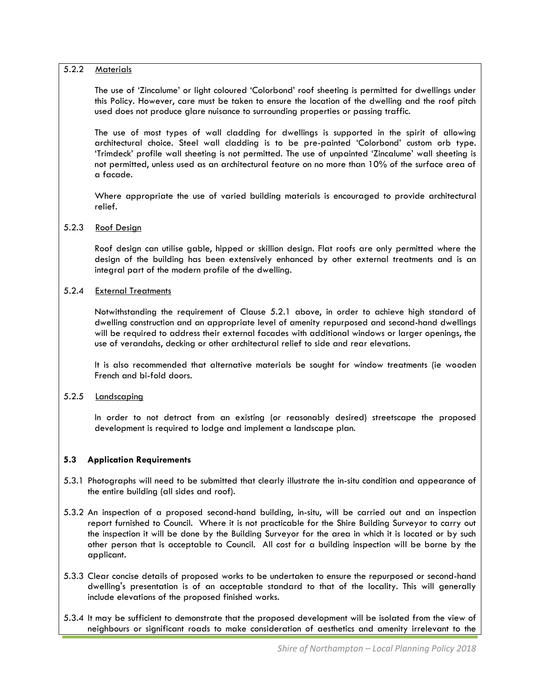### 5.2.2 Materials

The use of "Zincalume" or light coloured "Colorbond" roof sheeting is permitted for dwellings under this Policy. However, care must be taken to ensure the location of the dwelling and the roof pitch used does not produce glare nuisance to surrounding properties or passing traffic.

The use of most types of wall cladding for dwellings is supported in the spirit of allowing architectural choice. Steel wall cladding is to be pre-painted "Colorbond" custom orb type. "Trimdeck" profile wall sheeting is not permitted. The use of unpainted "Zincalume" wall sheeting is not permitted, unless used as an architectural feature on no more than 10% of the surface area of a facade.

Where appropriate the use of varied building materials is encouraged to provide architectural relief.

#### 5.2.3 Roof Design

Roof design can utilise gable, hipped or skillion design. Flat roofs are only permitted where the design of the building has been extensively enhanced by other external treatments and is an integral part of the modern profile of the dwelling.

#### 5.2.4 External Treatments

Notwithstanding the requirement of Clause 5.2.1 above, in order to achieve high standard of dwelling construction and an appropriate level of amenity repurposed and second-hand dwellings will be required to address their external facades with additional windows or larger openings, the use of verandahs, decking or other architectural relief to side and rear elevations.

It is also recommended that alternative materials be sought for window treatments (ie wooden French and bi-fold doors.

#### 5.2.5 Landscaping

In order to not detract from an existing (or reasonably desired) streetscape the proposed development is required to lodge and implement a landscape plan.

#### **5.3 Application Requirements**

- 5.3.1 Photographs will need to be submitted that clearly illustrate the in-situ condition and appearance of the entire building (all sides and roof).
- 5.3.2 An inspection of a proposed second-hand building, in-situ, will be carried out and an inspection report furnished to Council. Where it is not practicable for the Shire Building Surveyor to carry out the inspection it will be done by the Building Surveyor for the area in which it is located or by such other person that is acceptable to Council. All cost for a building inspection will be borne by the applicant.
- 5.3.3 Clear concise details of proposed works to be undertaken to ensure the repurposed or second-hand dwelling's presentation is of an acceptable standard to that of the locality. This will generally include elevations of the proposed finished works.
- 5.3.4 It may be sufficient to demonstrate that the proposed development will be isolated from the view of neighbours or significant roads to make consideration of aesthetics and amenity irrelevant to the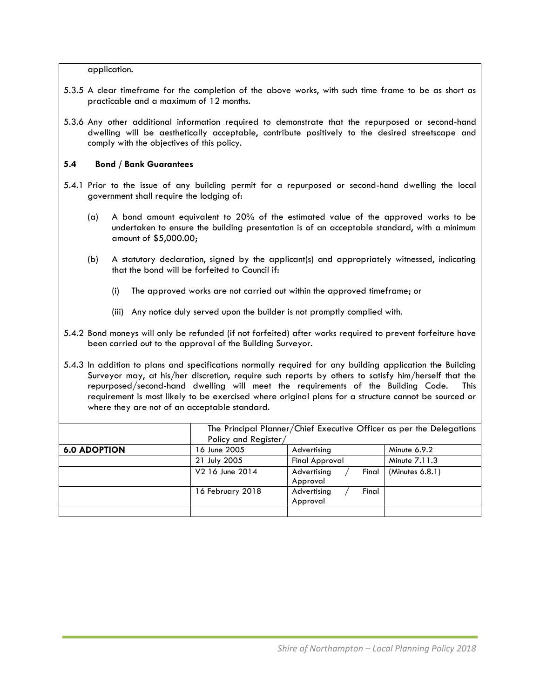application.

- 5.3.5 A clear timeframe for the completion of the above works, with such time frame to be as short as practicable and a maximum of 12 months.
- 5.3.6 Any other additional information required to demonstrate that the repurposed or second-hand dwelling will be aesthetically acceptable, contribute positively to the desired streetscape and comply with the objectives of this policy.

#### **5.4 Bond / Bank Guarantees**

- 5.4.1 Prior to the issue of any building permit for a repurposed or second-hand dwelling the local government shall require the lodging of:
	- (a) A bond amount equivalent to 20% of the estimated value of the approved works to be undertaken to ensure the building presentation is of an acceptable standard, with a minimum amount of \$5,000.00;
	- (b) A statutory declaration, signed by the applicant(s) and appropriately witnessed, indicating that the bond will be forfeited to Council if:
		- (i) The approved works are not carried out within the approved timeframe; or
		- (iii) Any notice duly served upon the builder is not promptly complied with.
- 5.4.2 Bond moneys will only be refunded (if not forfeited) after works required to prevent forfeiture have been carried out to the approval of the Building Surveyor.

5.4.3 In addition to plans and specifications normally required for any building application the Building Surveyor may, at his/her discretion, require such reports by others to satisfy him/herself that the repurposed/second-hand dwelling will meet the requirements of the Building Code. This requirement is most likely to be exercised where original plans for a structure cannot be sourced or where they are not of an acceptable standard.

|                     | The Principal Planner/Chief Executive Officer as per the Delegations |                       |                 |  |  |
|---------------------|----------------------------------------------------------------------|-----------------------|-----------------|--|--|
|                     | Policy and Register/                                                 |                       |                 |  |  |
| <b>6.0 ADOPTION</b> | 16 June 2005                                                         | Advertising           | Minute 6.9.2    |  |  |
|                     | 21 July 2005                                                         | <b>Final Approval</b> | Minute 7.11.3   |  |  |
|                     | V2 16 June 2014                                                      | Advertising<br>Final  | (Minutes 6.8.1) |  |  |
|                     |                                                                      | Approval              |                 |  |  |
|                     | 16 February 2018                                                     | Final<br>Advertising  |                 |  |  |
|                     |                                                                      | Approval              |                 |  |  |
|                     |                                                                      |                       |                 |  |  |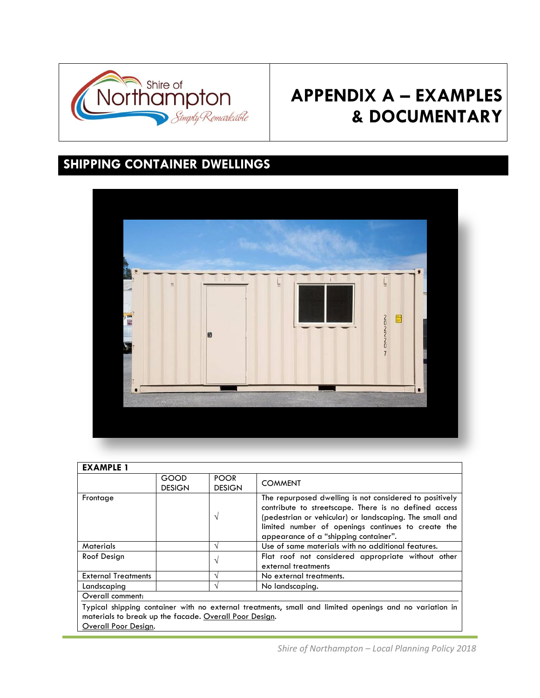

# **APPENDIX A – EXAMPLES & DOCUMENTARY**

## **SHIPPING CONTAINER DWELLINGS**



| <b>EXAMPLE 1</b>                                                               |                       |                              |                                                                                                                                                                                                                                                                            |
|--------------------------------------------------------------------------------|-----------------------|------------------------------|----------------------------------------------------------------------------------------------------------------------------------------------------------------------------------------------------------------------------------------------------------------------------|
|                                                                                | GOOD<br><b>DESIGN</b> | <b>POOR</b><br><b>DESIGN</b> | <b>COMMENT</b>                                                                                                                                                                                                                                                             |
| Frontage                                                                       |                       | N                            | The repurposed dwelling is not considered to positively<br>contribute to streetscape. There is no defined access<br>(pedestrian or vehicular) or landscaping. The small and<br>limited number of openings continues to create the<br>appearance of a "shipping container". |
| <b>Materials</b>                                                               |                       | N                            | Use of same materials with no additional features.                                                                                                                                                                                                                         |
| Roof Design                                                                    |                       | $\mathcal{L}$                | Flat roof not considered appropriate without other<br>external treatments                                                                                                                                                                                                  |
| <b>External Treatments</b>                                                     |                       | N                            | No external treatments.                                                                                                                                                                                                                                                    |
| Landscaping                                                                    |                       |                              | No landscaping.                                                                                                                                                                                                                                                            |
| Overall comment:                                                               |                       |                              |                                                                                                                                                                                                                                                                            |
| materials to break up the facade. Overall Poor Design.<br>Overall Poor Design. |                       |                              | Typical shipping container with no external treatments, small and limited openings and no variation in                                                                                                                                                                     |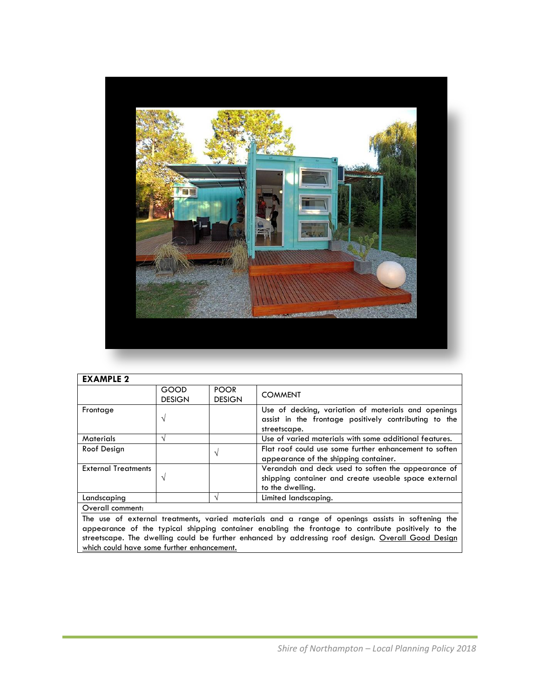

| <b>EXAMPLE 2</b>           |                       |                              |                                                                                                                                |
|----------------------------|-----------------------|------------------------------|--------------------------------------------------------------------------------------------------------------------------------|
|                            | GOOD<br><b>DESIGN</b> | <b>POOR</b><br><b>DESIGN</b> | <b>COMMENT</b>                                                                                                                 |
| Frontage                   | N                     |                              | Use of decking, variation of materials and openings<br>assist in the frontage positively contributing to the<br>streetscape.   |
| <b>Materials</b>           | $\mathcal{L}$         |                              | Use of varied materials with some additional features.                                                                         |
| Roof Design                |                       |                              | Flat roof could use some further enhancement to soften<br>appearance of the shipping container.                                |
| <b>External Treatments</b> | N                     |                              | Verandah and deck used to soften the appearance of<br>shipping container and create useable space external<br>to the dwelling. |
| Landscaping                |                       |                              | Limited landscapina.                                                                                                           |
| Overall comment:           |                       |                              |                                                                                                                                |

The use of external treatments, varied materials and a range of openings assists in softening the appearance of the typical shipping container enabling the frontage to contribute positively to the streetscape. The dwelling could be further enhanced by addressing roof design. Overall Good Design which could have some further enhancement.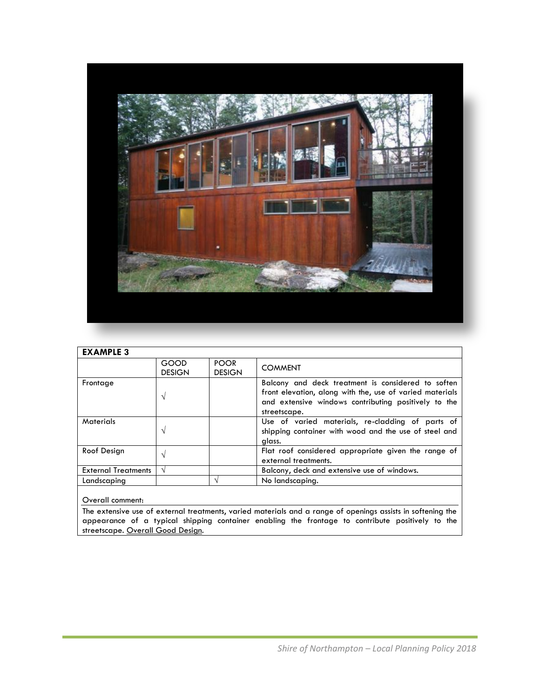

| <b>EXAMPLE 3</b>           |                       |                              |                                                                                                                                                                                        |
|----------------------------|-----------------------|------------------------------|----------------------------------------------------------------------------------------------------------------------------------------------------------------------------------------|
|                            | GOOD<br><b>DESIGN</b> | <b>POOR</b><br><b>DESIGN</b> | <b>COMMENT</b>                                                                                                                                                                         |
| Frontage                   | $\mathcal{N}$         |                              | Balcony and deck treatment is considered to soften<br>front elevation, along with the, use of varied materials<br>and extensive windows contributing positively to the<br>streetscape. |
| <b>Materials</b>           | N                     |                              | Use of varied materials, re-cladding of parts of<br>shipping container with wood and the use of steel and<br>glass.                                                                    |
| Roof Design                | $\mathcal{N}$         |                              | Flat roof considered appropriate given the range of<br>external treatments.                                                                                                            |
| <b>External Treatments</b> | $\mathcal{N}$         |                              | Balcony, deck and extensive use of windows.                                                                                                                                            |
| Landscaping                |                       |                              | No landscaping.                                                                                                                                                                        |

Overall comment:

The extensive use of external treatments, varied materials and a range of openings assists in softening the appearance of a typical shipping container enabling the frontage to contribute positively to the streetscape. <u>Overall Good Design</u>.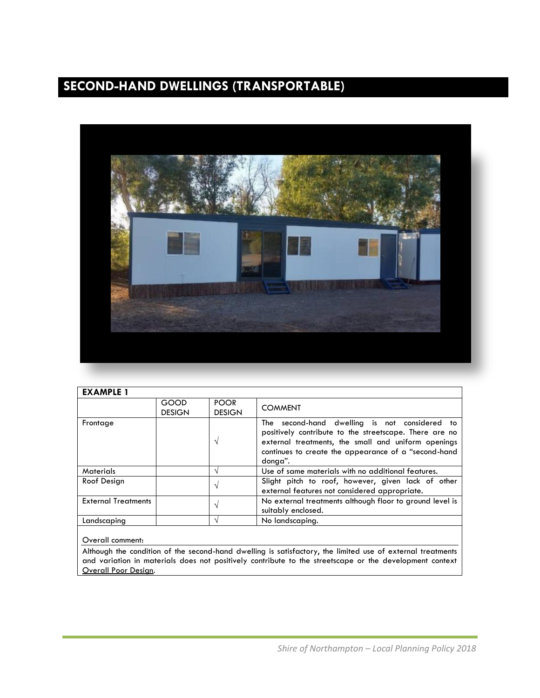## **SECOND-HAND DWELLINGS (TRANSPORTABLE)**



| <b>EXAMPLE 1</b>           |                       |                              |                                                                                                                                                                                                                                   |
|----------------------------|-----------------------|------------------------------|-----------------------------------------------------------------------------------------------------------------------------------------------------------------------------------------------------------------------------------|
|                            | GOOD<br><b>DESIGN</b> | <b>POOR</b><br><b>DESIGN</b> | <b>COMMENT</b>                                                                                                                                                                                                                    |
| Frontage                   |                       |                              | The second-hand dwelling is not considered to<br>positively contribute to the streetscape. There are no<br>external treatments, the small and uniform openings<br>continues to create the appearance of a "second-hand<br>donga". |
| <b>Materials</b>           |                       |                              | Use of same materials with no additional features.                                                                                                                                                                                |
| Roof Design                |                       |                              | Slight pitch to roof, however, given lack of other<br>external features not considered appropriate.                                                                                                                               |
| <b>External Treatments</b> |                       |                              | No external treatments although floor to ground level is<br>suitably enclosed.                                                                                                                                                    |
| Landscaping                |                       |                              | No landscaping.                                                                                                                                                                                                                   |
|                            |                       |                              |                                                                                                                                                                                                                                   |

#### Overall comment:

Although the condition of the second-hand dwelling is satisfactory, the limited use of external treatments and variation in materials does not positively contribute to the streetscape or the development context Overall Poor Design.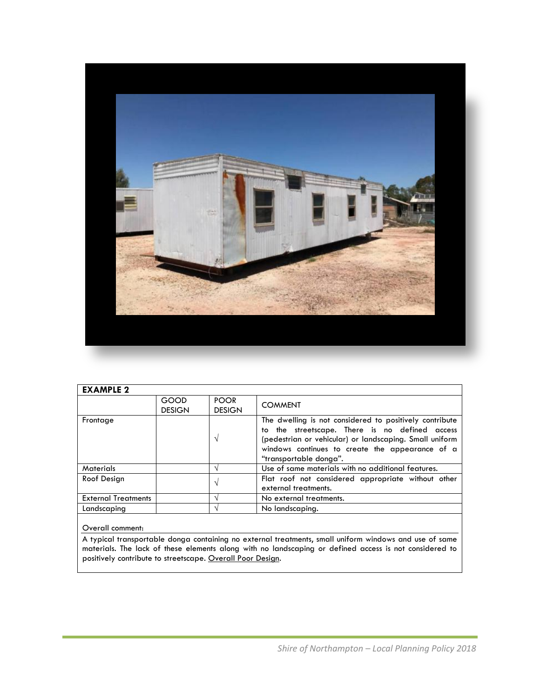

| <b>EXAMPLE 2</b>           |                       |                              |                                                                                                                                                                                                                                                   |
|----------------------------|-----------------------|------------------------------|---------------------------------------------------------------------------------------------------------------------------------------------------------------------------------------------------------------------------------------------------|
|                            | GOOD<br><b>DESIGN</b> | <b>POOR</b><br><b>DESIGN</b> | <b>COMMENT</b>                                                                                                                                                                                                                                    |
| Frontage                   |                       | V                            | The dwelling is not considered to positively contribute<br>to the streetscape. There is no defined access<br>(pedestrian or vehicular) or landscaping. Small uniform<br>windows continues to create the appearance of a<br>"transportable donga". |
| <b>Materials</b>           |                       | $\mathcal{N}$                | Use of same materials with no additional features.                                                                                                                                                                                                |
| Roof Design                |                       | V                            | Flat roof not considered appropriate without other<br>external treatments.                                                                                                                                                                        |
| <b>External Treatments</b> |                       |                              | No external treatments.                                                                                                                                                                                                                           |
| Landscaping                |                       |                              | No landscaping.                                                                                                                                                                                                                                   |

#### Overall comment:

A typical transportable donga containing no external treatments, small uniform windows and use of same materials. The lack of these elements along with no landscaping or defined access is not considered to positively contribute to streetscape. Overall Poor Design.